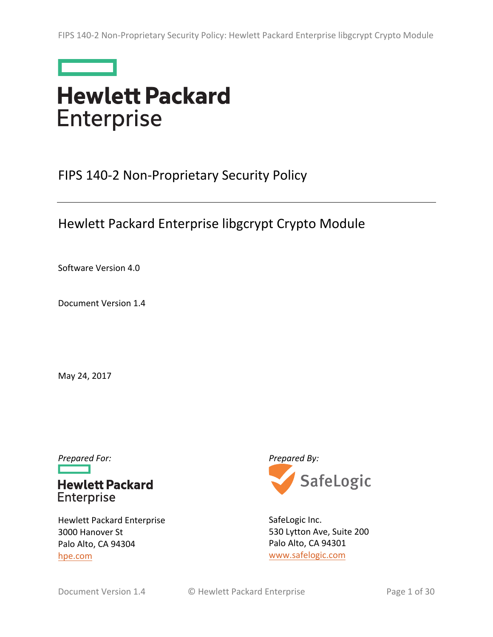

# **Hewlett Packard Enterprise**

FIPS 140-2 Non-Proprietary Security Policy

# Hewlett Packard Enterprise libgcrypt Crypto Module

Software Version 4.0

Document Version 1.4

May 24, 2017

# **Hewlett Packard** Enterprise

Hewlett Packard Enterprise 3000 Hanover St Palo Alto, CA 94304 hpe.com



SafeLogic Inc. 530 Lytton Ave, Suite 200 Palo Alto, CA 94301 www.safelogic.com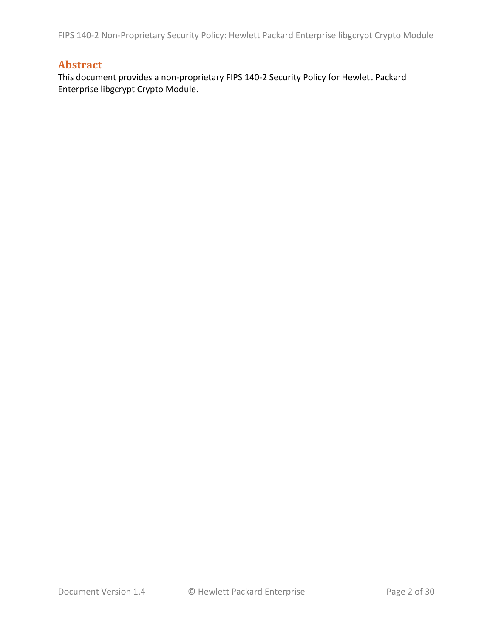# **Abstract**

This document provides a non-proprietary FIPS 140-2 Security Policy for Hewlett Packard Enterprise libgcrypt Crypto Module.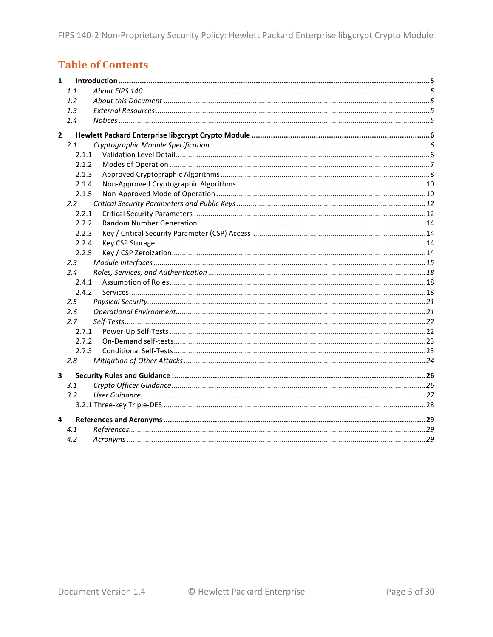# **Table of Contents**

| $\mathbf{1}$            |               |  |
|-------------------------|---------------|--|
|                         | 1.1           |  |
|                         | 1.2           |  |
|                         | 1.3           |  |
|                         | 1.4           |  |
| $\overline{2}$          |               |  |
|                         | 2.1           |  |
|                         | 2.1.1         |  |
|                         | 2.1.2         |  |
|                         | 2.1.3         |  |
|                         | 2.1.4         |  |
|                         | 2.1.5         |  |
|                         | $2.2^{\circ}$ |  |
|                         | 2.2.1         |  |
|                         | 2.2.2         |  |
|                         | 2.2.3         |  |
|                         | 2.2.4         |  |
|                         | 2.2.5         |  |
|                         | 2.3           |  |
|                         | 2.4           |  |
|                         | 2.4.1         |  |
|                         | 2.4.2         |  |
|                         | 2.5           |  |
|                         | 2.6           |  |
|                         | 2.7           |  |
|                         | 2.7.1         |  |
|                         | 2.7.2         |  |
|                         | 2.7.3         |  |
|                         | 2.8           |  |
| $\overline{\mathbf{3}}$ |               |  |
|                         | 3.1           |  |
|                         | 3.2           |  |
|                         |               |  |
| 4                       |               |  |
|                         | 4.1           |  |
|                         | 4.2           |  |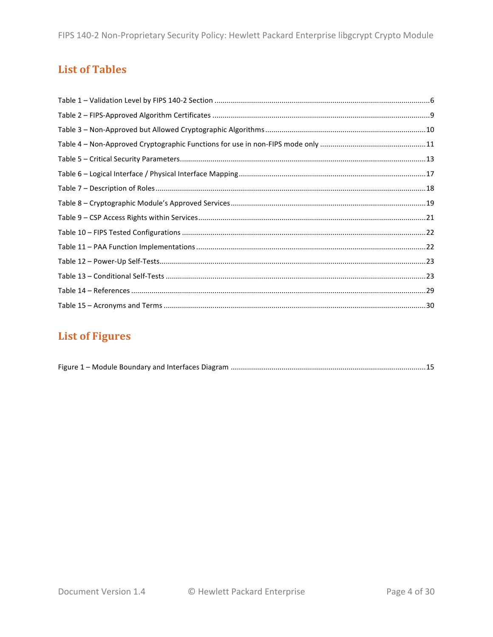# **List of Tables**

# **List of Figures**

|--|--|--|--|--|--|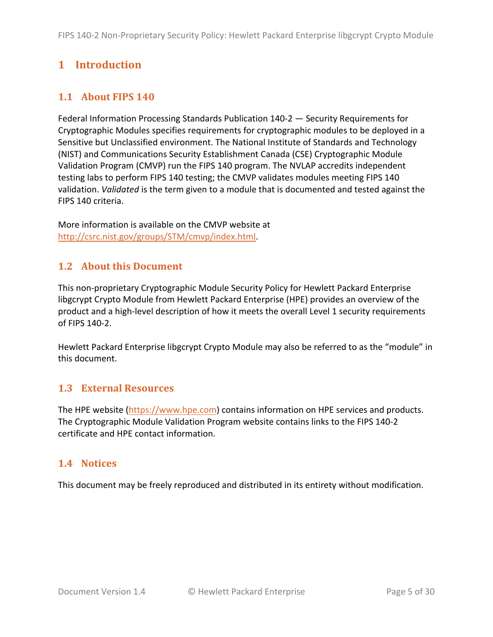# **1 Introduction**

# **1.1 About FIPS 140**

Federal Information Processing Standards Publication 140-2 — Security Requirements for Cryptographic Modules specifies requirements for cryptographic modules to be deployed in a Sensitive but Unclassified environment. The National Institute of Standards and Technology (NIST) and Communications Security Establishment Canada (CSE) Cryptographic Module Validation Program (CMVP) run the FIPS 140 program. The NVLAP accredits independent testing labs to perform FIPS 140 testing; the CMVP validates modules meeting FIPS 140 validation. *Validated* is the term given to a module that is documented and tested against the FIPS 140 criteria.

More information is available on the CMVP website at http://csrc.nist.gov/groups/STM/cmvp/index.html.

## **1.2 About this Document**

This non-proprietary Cryptographic Module Security Policy for Hewlett Packard Enterprise libgcrypt Crypto Module from Hewlett Packard Enterprise (HPE) provides an overview of the product and a high-level description of how it meets the overall Level 1 security requirements of FIPS 140-2.

Hewlett Packard Enterprise libgcrypt Crypto Module may also be referred to as the "module" in this document.

#### **1.3 External Resources**

The HPE website  $\frac{https://www.hpe.com)}{com}$  contains information on HPE services and products. The Cryptographic Module Validation Program website contains links to the FIPS 140-2 certificate and HPE contact information.

# **1.4 Notices**

This document may be freely reproduced and distributed in its entirety without modification.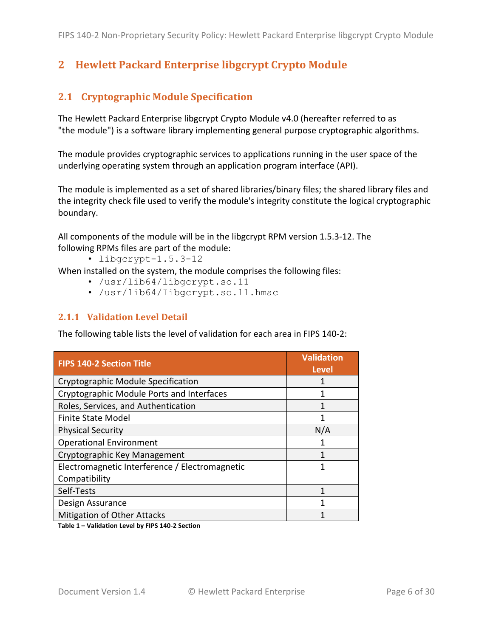# **2** Hewlett Packard Enterprise libgcrypt Crypto Module

## **2.1 Cryptographic Module Specification**

The Hewlett Packard Enterprise libgcrypt Crypto Module v4.0 (hereafter referred to as "the module") is a software library implementing general purpose cryptographic algorithms.

The module provides cryptographic services to applications running in the user space of the underlying operating system through an application program interface (API).

The module is implemented as a set of shared libraries/binary files; the shared library files and the integrity check file used to verify the module's integrity constitute the logical cryptographic boundary.

All components of the module will be in the libgcrypt RPM version 1.5.3-12. The following RPMs files are part of the module:

• libgcrypt-1.5.3-12

When installed on the system, the module comprises the following files:

- /usr/lib64/libgcrypt.so.11
- /usr/lib64/Iibgcrypt.so.11.hmac

#### **2.1.1 Validation Level Detail**

The following table lists the level of validation for each area in FIPS 140-2:

| <b>FIPS 140-2 Section Title</b>                | <b>Validation</b><br><b>Level</b> |
|------------------------------------------------|-----------------------------------|
| <b>Cryptographic Module Specification</b>      |                                   |
| Cryptographic Module Ports and Interfaces      |                                   |
| Roles, Services, and Authentication            |                                   |
| <b>Finite State Model</b>                      |                                   |
| <b>Physical Security</b>                       | N/A                               |
| <b>Operational Environment</b>                 |                                   |
| Cryptographic Key Management                   |                                   |
| Electromagnetic Interference / Electromagnetic |                                   |
| Compatibility                                  |                                   |
| Self-Tests                                     |                                   |
| Design Assurance                               |                                   |
| <b>Mitigation of Other Attacks</b>             |                                   |

Table 1 - Validation Level by FIPS 140-2 Section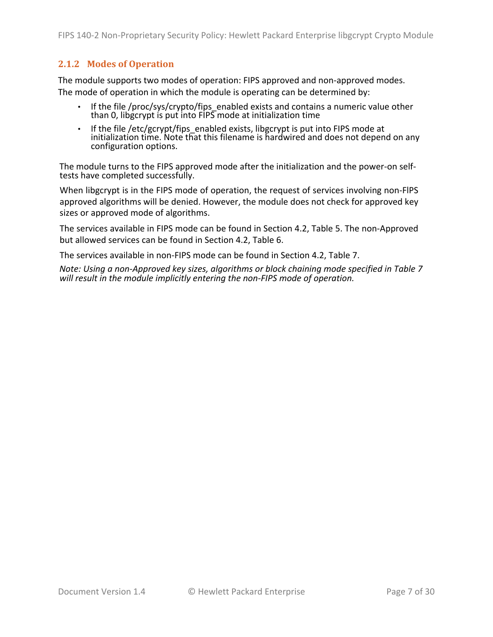#### **2.1.2 Modes of Operation**

The module supports two modes of operation: FIPS approved and non-approved modes. The mode of operation in which the module is operating can be determined by:

- If the file /proc/sys/crypto/fips\_enabled exists and contains a numeric value other than 0, libgcrypt is put into FIPS mode at initialization time
- If the file /etc/gcrypt/fips\_enabled exists, libgcrypt is put into FIPS mode at in the me year, gar, they the action time. The contract the strength initialization time. Note that this filename is hardwired and does not depend on any configuration options.

The module turns to the FIPS approved mode after the initialization and the power-on self-<br>tests have completed successfully.

When libgcrypt is in the FIPS mode of operation, the request of services involving non-FIPS approved algorithms will be denied. However, the module does not check for approved key sizes or approved mode of algorithms.

The services available in FIPS mode can be found in Section 4.2, Table 5. The non-Approved but allowed services can be found in Section 4.2, Table 6.

The services available in non-FIPS mode can be found in Section 4.2, Table 7.

*Note: Using a non-Approved key sizes, algorithms or block chaining mode specified in Table 7* will result in the module *implicitly* entering the non-FIPS mode of operation.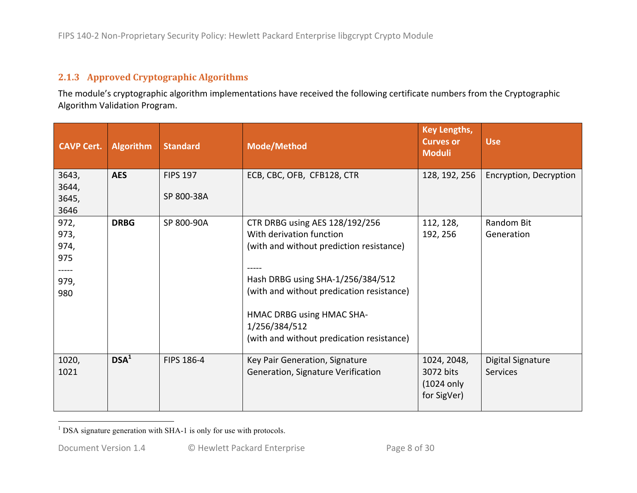## **2.1.3 Approved,Cryptographic,Algorithms**

The module's cryptographic algorithm implementations have received the following certificate numbers from the Cryptographic Algorithm Validation Program.

| <b>CAVP Cert.</b>                                   | <b>Algorithm</b> | <b>Standard</b> | <b>Mode/Method</b>                                                                                                                                                                                                                                                                  | <b>Key Lengths,</b><br><b>Curves or</b><br><b>Moduli</b>         | <b>Use</b>                           |
|-----------------------------------------------------|------------------|-----------------|-------------------------------------------------------------------------------------------------------------------------------------------------------------------------------------------------------------------------------------------------------------------------------------|------------------------------------------------------------------|--------------------------------------|
| 3643,<br>3644,                                      | <b>AES</b>       | <b>FIPS 197</b> | ECB, CBC, OFB, CFB128, CTR                                                                                                                                                                                                                                                          | 128, 192, 256                                                    | Encryption, Decryption               |
| 3645,<br>3646                                       |                  | SP 800-38A      |                                                                                                                                                                                                                                                                                     |                                                                  |                                      |
| 972,<br>973,<br>974,<br>975<br>-----<br>979,<br>980 | <b>DRBG</b>      | SP 800-90A      | CTR DRBG using AES 128/192/256<br>With derivation function<br>(with and without prediction resistance)<br>Hash DRBG using SHA-1/256/384/512<br>(with and without predication resistance)<br>HMAC DRBG using HMAC SHA-<br>1/256/384/512<br>(with and without predication resistance) | 112, 128,<br>192, 256                                            | Random Bit<br>Generation             |
| 1020,<br>1021                                       | DSA <sup>1</sup> | FIPS 186-4      | Key Pair Generation, Signature<br>Generation, Signature Verification                                                                                                                                                                                                                | 1024, 2048,<br>3072 bits<br>$(1024 \text{ only})$<br>for SigVer) | Digital Signature<br><b>Services</b> |

 $<sup>1</sup>$  DSA signature generation with SHA-1 is only for use with protocols.</sup>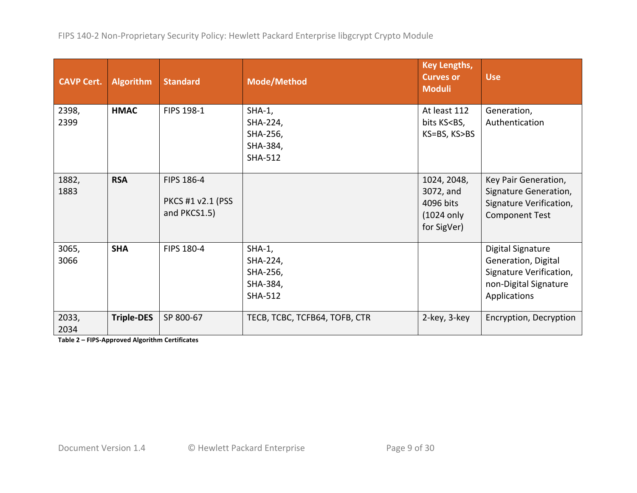| <b>CAVP Cert.</b> | <b>Algorithm</b>  | <b>Standard</b>                                 | <b>Mode/Method</b>                                              | <b>Key Lengths,</b><br><b>Curves or</b><br><b>Moduli</b>                      | <b>Use</b>                                                                                                   |
|-------------------|-------------------|-------------------------------------------------|-----------------------------------------------------------------|-------------------------------------------------------------------------------|--------------------------------------------------------------------------------------------------------------|
| 2398,<br>2399     | <b>HMAC</b>       | FIPS 198-1                                      | $SHA-1$ ,<br>SHA-224,<br>SHA-256,<br>SHA-384,<br><b>SHA-512</b> | At least 112<br>bits KS <bs,<br>KS=BS, KS&gt;BS</bs,<br>                      | Generation,<br>Authentication                                                                                |
| 1882,<br>1883     | <b>RSA</b>        | FIPS 186-4<br>PKCS #1 v2.1 (PSS<br>and PKCS1.5) |                                                                 | 1024, 2048,<br>3072, and<br>4096 bits<br>$(1024 \text{ only})$<br>for SigVer) | Key Pair Generation,<br>Signature Generation,<br>Signature Verification,<br><b>Component Test</b>            |
| 3065,<br>3066     | <b>SHA</b>        | FIPS 180-4                                      | $SHA-1$ ,<br>SHA-224,<br>SHA-256,<br>SHA-384,<br><b>SHA-512</b> |                                                                               | Digital Signature<br>Generation, Digital<br>Signature Verification,<br>non-Digital Signature<br>Applications |
| 2033,<br>2034     | <b>Triple-DES</b> | SP 800-67                                       | TECB, TCBC, TCFB64, TOFB, CTR                                   | 2-key, 3-key                                                                  | Encryption, Decryption                                                                                       |

**Table 2 – FIPS-Approved Algorithm Certificates**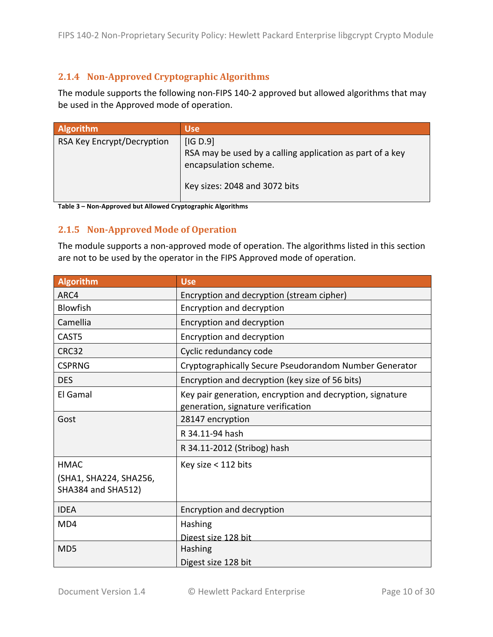#### **2.1.4** Non-Approved Cryptographic Algorithms

The module supports the following non-FIPS 140-2 approved but allowed algorithms that may be used in the Approved mode of operation.

| Algorithm                  | <b>Use</b>                                                                                                                      |
|----------------------------|---------------------------------------------------------------------------------------------------------------------------------|
| RSA Key Encrypt/Decryption | [IG D.9]<br>RSA may be used by a calling application as part of a key<br>encapsulation scheme.<br>Key sizes: 2048 and 3072 bits |

Table 3 – Non-Approved but Allowed Cryptographic Algorithms

#### **2.1.5** Non-Approved Mode of Operation

The module supports a non-approved mode of operation. The algorithms listed in this section are not to be used by the operator in the FIPS Approved mode of operation.

| <b>Algorithm</b>            | <b>Use</b>                                                                                      |
|-----------------------------|-------------------------------------------------------------------------------------------------|
| ARC4                        | Encryption and decryption (stream cipher)                                                       |
| <b>Blowfish</b>             | Encryption and decryption                                                                       |
| Camellia                    | Encryption and decryption                                                                       |
| CAST5                       | Encryption and decryption                                                                       |
| CRC32                       | Cyclic redundancy code                                                                          |
| <b>CSPRNG</b>               | Cryptographically Secure Pseudorandom Number Generator                                          |
| <b>DES</b>                  | Encryption and decryption (key size of 56 bits)                                                 |
| El Gamal                    | Key pair generation, encryption and decryption, signature<br>generation, signature verification |
| Gost                        | 28147 encryption                                                                                |
|                             | R 34.11-94 hash                                                                                 |
|                             | R 34.11-2012 (Stribog) hash                                                                     |
| <b>HMAC</b>                 | Key size < 112 bits                                                                             |
| (SHA1, SHA224, SHA256,      |                                                                                                 |
| SHA384 and SHA512)          |                                                                                                 |
| <b>IDEA</b>                 | Encryption and decryption                                                                       |
| MD4                         | Hashing                                                                                         |
|                             | Digest size 128 bit                                                                             |
| M <sub>D</sub> <sub>5</sub> | Hashing                                                                                         |
|                             | Digest size 128 bit                                                                             |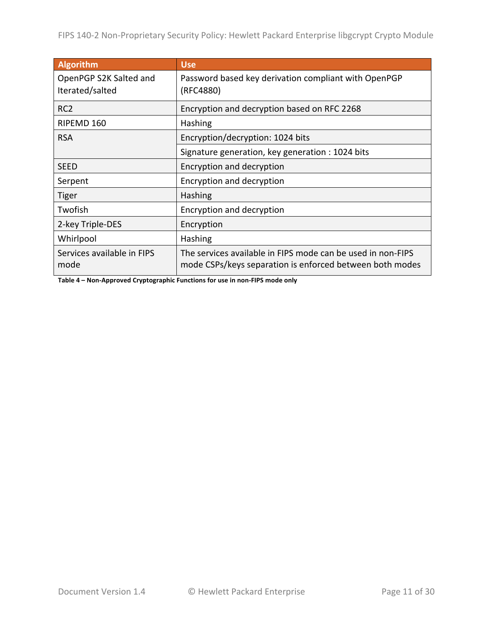| <b>Algorithm</b>                          | <b>Use</b>                                                                                                              |
|-------------------------------------------|-------------------------------------------------------------------------------------------------------------------------|
| OpenPGP S2K Salted and<br>Iterated/salted | Password based key derivation compliant with OpenPGP<br>(RFC4880)                                                       |
| RC <sub>2</sub>                           | Encryption and decryption based on RFC 2268                                                                             |
| RIPEMD 160                                | Hashing                                                                                                                 |
| <b>RSA</b>                                | Encryption/decryption: 1024 bits                                                                                        |
|                                           | Signature generation, key generation : 1024 bits                                                                        |
| <b>SEED</b>                               | Encryption and decryption                                                                                               |
| Serpent                                   | Encryption and decryption                                                                                               |
| <b>Tiger</b>                              | Hashing                                                                                                                 |
| Twofish                                   | Encryption and decryption                                                                                               |
| 2-key Triple-DES                          | Encryption                                                                                                              |
| Whirlpool                                 | Hashing                                                                                                                 |
| Services available in FIPS<br>mode        | The services available in FIPS mode can be used in non-FIPS<br>mode CSPs/keys separation is enforced between both modes |

**Table 4 – Non-Approved Cryptographic Functions for use in non-FIPS mode only**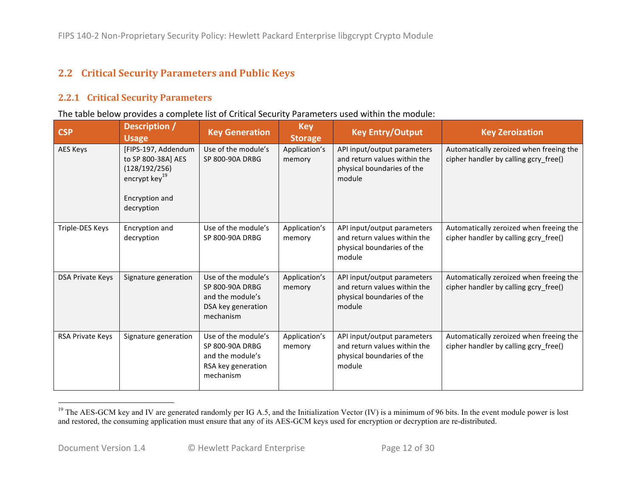# **2.2 Critical Security Parameters and Public Keys**

#### **2.2.1 Critical Security Parameters**

#### The table below provides a complete list of Critical Security Parameters used within the module:

| <b>CSP</b>              | Description /<br><b>Usage</b>                                                                                           | <b>Key Generation</b>                                                                                | <b>Key</b><br><b>Storage</b> | <b>Key Entry/Output</b>                                                                             | <b>Key Zeroization</b>                                                           |
|-------------------------|-------------------------------------------------------------------------------------------------------------------------|------------------------------------------------------------------------------------------------------|------------------------------|-----------------------------------------------------------------------------------------------------|----------------------------------------------------------------------------------|
| <b>AES Keys</b>         | [FIPS-197, Addendum<br>to SP 800-38A] AES<br>(128/192/256)<br>encrypt key <sup>19</sup><br>Encryption and<br>decryption | Use of the module's<br>SP 800-90A DRBG                                                               | Application's<br>memory      | API input/output parameters<br>and return values within the<br>physical boundaries of the<br>module | Automatically zeroized when freeing the<br>cipher handler by calling gcry_free() |
| Triple-DES Keys         | Encryption and<br>decryption                                                                                            | Use of the module's<br>SP 800-90A DRBG                                                               | Application's<br>memory      | API input/output parameters<br>and return values within the<br>physical boundaries of the<br>module | Automatically zeroized when freeing the<br>cipher handler by calling gcry free() |
| <b>DSA Private Keys</b> | Signature generation                                                                                                    | Use of the module's<br>SP 800-90A DRBG<br>and the module's<br>DSA key generation<br>mechanism        | Application's<br>memory      | API input/output parameters<br>and return values within the<br>physical boundaries of the<br>module | Automatically zeroized when freeing the<br>cipher handler by calling gcry free() |
| <b>RSA Private Keys</b> | Signature generation                                                                                                    | Use of the module's<br><b>SP 800-90A DRBG</b><br>and the module's<br>RSA key generation<br>mechanism | Application's<br>memory      | API input/output parameters<br>and return values within the<br>physical boundaries of the<br>module | Automatically zeroized when freeing the<br>cipher handler by calling gcry free() |

 $19$  The AES-GCM key and IV are generated randomly per IG A.5, and the Initialization Vector (IV) is a minimum of 96 bits. In the event module power is lost and restored, the consuming application must ensure that any of its AES-GCM keys used for encryption or decryption are re-distributed.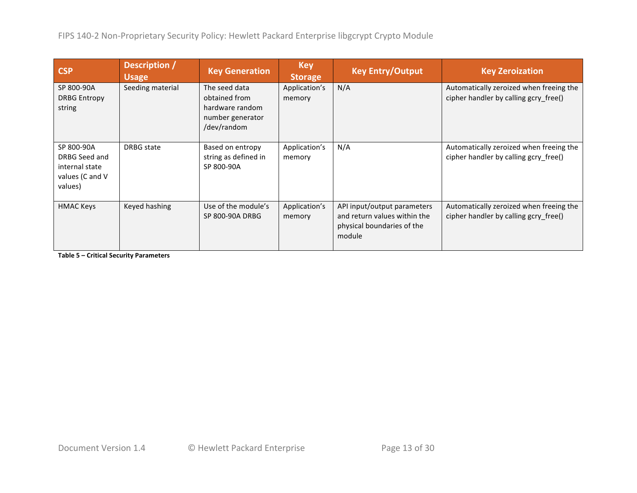| <b>CSP</b>                                                                  | Description /<br><b>Usage</b> | <b>Key Generation</b>                                                                | <b>Key</b><br><b>Storage</b> | <b>Key Entry/Output</b>                                                                             | <b>Key Zeroization</b>                                                           |
|-----------------------------------------------------------------------------|-------------------------------|--------------------------------------------------------------------------------------|------------------------------|-----------------------------------------------------------------------------------------------------|----------------------------------------------------------------------------------|
| SP 800-90A<br><b>DRBG Entropy</b><br>string                                 | Seeding material              | The seed data<br>obtained from<br>hardware random<br>number generator<br>/dev/random | Application's<br>memory      | N/A                                                                                                 | Automatically zeroized when freeing the<br>cipher handler by calling gcry free() |
| SP 800-90A<br>DRBG Seed and<br>internal state<br>values (C and V<br>values) | DRBG state                    | Based on entropy<br>string as defined in<br>SP 800-90A                               | Application's<br>memory      | N/A                                                                                                 | Automatically zeroized when freeing the<br>cipher handler by calling gcry free() |
| <b>HMAC Keys</b>                                                            | Keyed hashing                 | Use of the module's<br>SP 800-90A DRBG                                               | Application's<br>memory      | API input/output parameters<br>and return values within the<br>physical boundaries of the<br>module | Automatically zeroized when freeing the<br>cipher handler by calling gcry free() |

**Table 5 – Critical Security Parameters**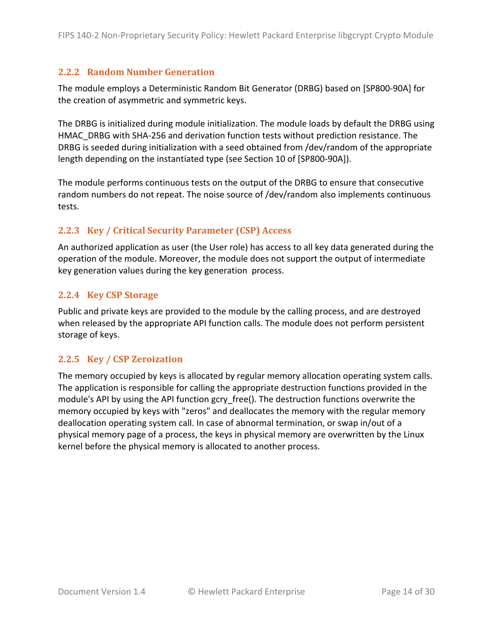#### **2.2.2 Random)Number)Generation**

The module employs a Deterministic Random Bit Generator (DRBG) based on [SP800-90A] for the creation of asymmetric and symmetric keys.

The DRBG is initialized during module initialization. The module loads by default the DRBG using HMAC DRBG with SHA-256 and derivation function tests without prediction resistance. The DRBG is seeded during initialization with a seed obtained from /dev/random of the appropriate length depending on the instantiated type (see Section 10 of [SP800-90A]).

The module performs continuous tests on the output of the DRBG to ensure that consecutive random numbers do not repeat. The noise source of /dev/random also implements continuous tests.

#### **2.2.3 Key / Critical Security Parameter (CSP) Access**

An authorized application as user (the User role) has access to all key data generated during the operation of the module. Moreover, the module does not support the output of intermediate key generation values during the key generation process.

#### **2.2.4 Key CSP Storage**

Public and private keys are provided to the module by the calling process, and are destroyed when released by the appropriate API function calls. The module does not perform persistent storage of keys.

#### **2.2.5 Key)/)CSP)Zeroization**

The memory occupied by keys is allocated by regular memory allocation operating system calls. The application is responsible for calling the appropriate destruction functions provided in the module's API by using the API function gcry\_free(). The destruction functions overwrite the memory occupied by keys with "zeros" and deallocates the memory with the regular memory deallocation operating system call. In case of abnormal termination, or swap in/out of a physical memory page of a process, the keys in physical memory are overwritten by the Linux kernel before the physical memory is allocated to another process.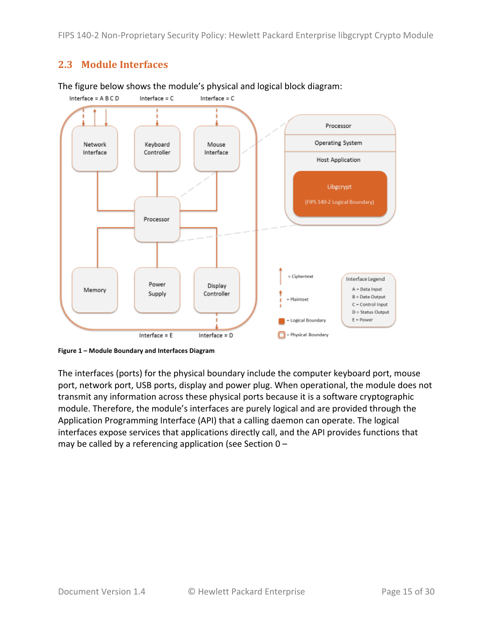#### **2.3 Module Interfaces**



The figure below shows the module's physical and logical block diagram:

The interfaces (ports) for the physical boundary include the computer keyboard port, mouse port, network port, USB ports, display and power plug. When operational, the module does not transmit any information across these physical ports because it is a software cryptographic module. Therefore, the module's interfaces are purely logical and are provided through the Application Programming Interface (API) that a calling daemon can operate. The logical interfaces expose services that applications directly call, and the API provides functions that may be called by a referencing application (see Section  $0 -$ 

<sup>%%</sup> **Figure'1 – Module'Boundary'and'Interfaces'Diagram**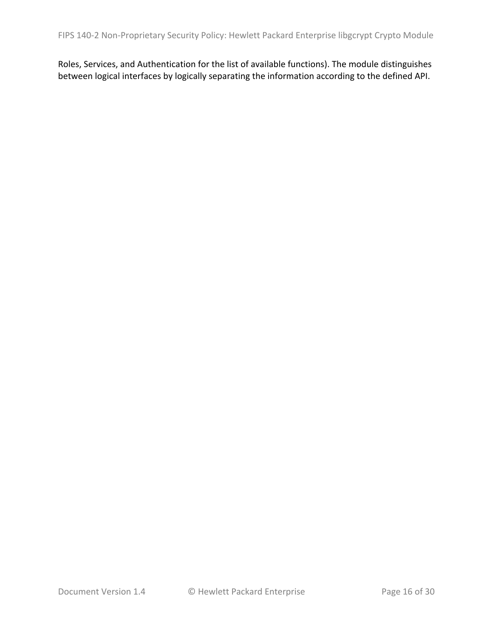Roles, Services, and Authentication for the list of available functions). The module distinguishes between logical interfaces by logically separating the information according to the defined API.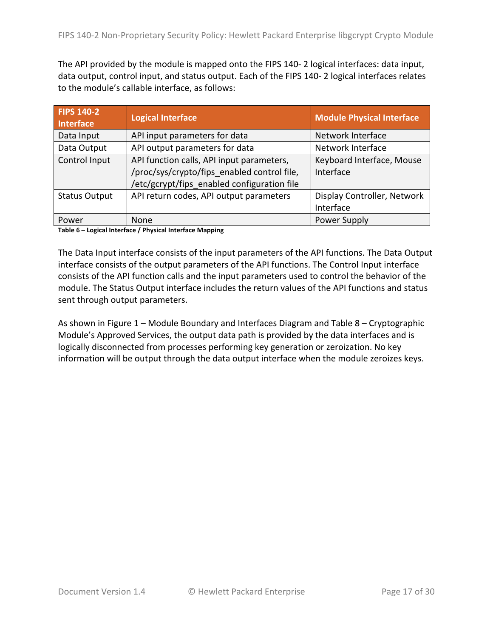The API provided by the module is mapped onto the FIPS 140-2 logical interfaces: data input, data output, control input, and status output. Each of the FIPS 140-2 logical interfaces relates to the module's callable interface, as follows:

| <b>FIPS 140-2</b><br><b>Interface</b> | <b>Logical Interface</b>                    | <b>Module Physical Interface</b> |
|---------------------------------------|---------------------------------------------|----------------------------------|
| Data Input                            | API input parameters for data               | Network Interface                |
| Data Output                           | API output parameters for data              | Network Interface                |
| Control Input                         | API function calls, API input parameters,   | Keyboard Interface, Mouse        |
|                                       | /proc/sys/crypto/fips_enabled control file, | Interface                        |
|                                       | /etc/gcrypt/fips_enabled configuration file |                                  |
| <b>Status Output</b>                  | API return codes, API output parameters     | Display Controller, Network      |
|                                       |                                             | Interface                        |
| Power                                 | None                                        | Power Supply                     |

**Table'6 – Logical'Interface'/'Physical'Interface'Mapping**

The Data Input interface consists of the input parameters of the API functions. The Data Output interface consists of the output parameters of the API functions. The Control Input interface consists of the API function calls and the input parameters used to control the behavior of the module. The Status Output interface includes the return values of the API functions and status sent through output parameters.

As shown in Figure  $1$  – Module Boundary and Interfaces Diagram and Table 8 – Cryptographic Module's Approved Services, the output data path is provided by the data interfaces and is logically disconnected from processes performing key generation or zeroization. No key information will be output through the data output interface when the module zeroizes keys.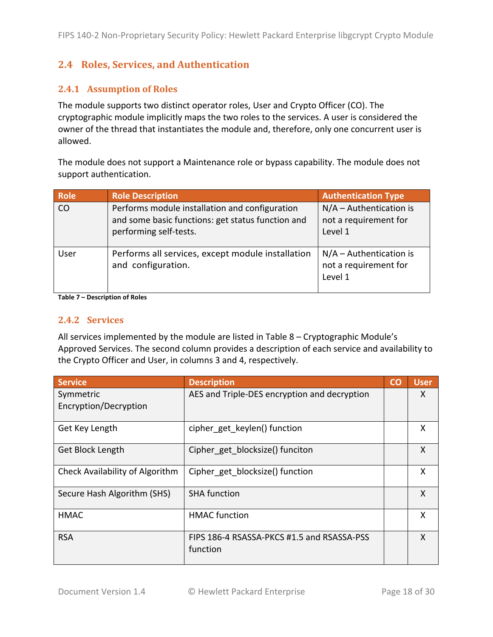# **2.4 Roles,)Services,)and)Authentication**

#### **2.4.1 Assumption of Roles**

The module supports two distinct operator roles, User and Crypto Officer (CO). The cryptographic module implicitly maps the two roles to the services. A user is considered the owner of the thread that instantiates the module and, therefore, only one concurrent user is allowed.

The module does not support a Maintenance role or bypass capability. The module does not support authentication.

| Role | <b>Role Description</b>                                                                                                       | <b>Authentication Type</b>                                    |
|------|-------------------------------------------------------------------------------------------------------------------------------|---------------------------------------------------------------|
| CO   | Performs module installation and configuration<br>and some basic functions: get status function and<br>performing self-tests. | $N/A -$ Authentication is<br>not a requirement for<br>Level 1 |
| User | Performs all services, except module installation<br>and configuration.                                                       | $N/A -$ Authentication is<br>not a requirement for<br>Level 1 |

Table 7 – Description of Roles

#### **2.4.2 Services)**

All services implemented by the module are listed in Table  $8$  – Cryptographic Module's Approved Services. The second column provides a description of each service and availability to the Crypto Officer and User, in columns 3 and 4, respectively.

| <b>Service</b>                  | <b>Description</b>                                     | <b>CO</b> | <b>User</b> |
|---------------------------------|--------------------------------------------------------|-----------|-------------|
| Symmetric                       | AES and Triple-DES encryption and decryption           |           | X           |
| Encryption/Decryption           |                                                        |           |             |
| Get Key Length                  | cipher_get_keylen() function                           |           | X           |
| Get Block Length                | Cipher_get_blocksize() funciton                        |           | X           |
| Check Availability of Algorithm | Cipher_get_blocksize() function                        |           | X           |
| Secure Hash Algorithm (SHS)     | <b>SHA function</b>                                    |           | X           |
| <b>HMAC</b>                     | <b>HMAC</b> function                                   |           | X           |
| <b>RSA</b>                      | FIPS 186-4 RSASSA-PKCS #1.5 and RSASSA-PSS<br>function |           | X           |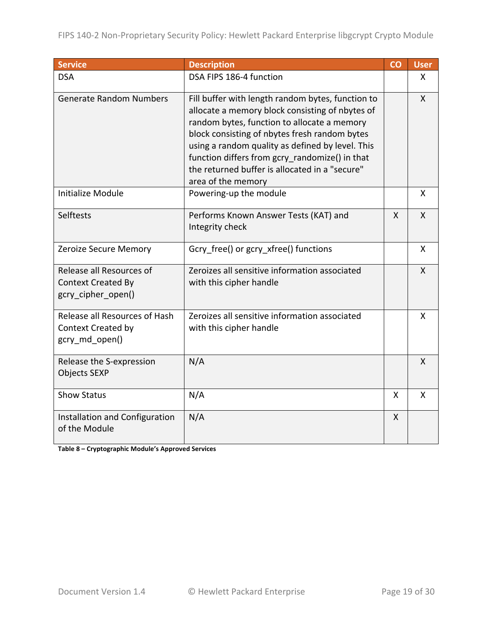| <b>Service</b>                                                               | <b>Description</b>                                                                                                                                                                                                                                                                                                                                                                 | CO           | <b>User</b>  |
|------------------------------------------------------------------------------|------------------------------------------------------------------------------------------------------------------------------------------------------------------------------------------------------------------------------------------------------------------------------------------------------------------------------------------------------------------------------------|--------------|--------------|
| <b>DSA</b>                                                                   | DSA FIPS 186-4 function                                                                                                                                                                                                                                                                                                                                                            |              | X            |
| <b>Generate Random Numbers</b>                                               | Fill buffer with length random bytes, function to<br>allocate a memory block consisting of nbytes of<br>random bytes, function to allocate a memory<br>block consisting of nbytes fresh random bytes<br>using a random quality as defined by level. This<br>function differs from gcry randomize() in that<br>the returned buffer is allocated in a "secure"<br>area of the memory |              | $\mathsf{X}$ |
| <b>Initialize Module</b>                                                     | Powering-up the module                                                                                                                                                                                                                                                                                                                                                             |              | $\mathsf{X}$ |
| Selftests                                                                    | Performs Known Answer Tests (KAT) and<br>Integrity check                                                                                                                                                                                                                                                                                                                           | $\mathsf{X}$ | $\mathsf{X}$ |
| <b>Zeroize Secure Memory</b>                                                 | Gcry free() or gcry xfree() functions                                                                                                                                                                                                                                                                                                                                              |              | X            |
| Release all Resources of<br><b>Context Created By</b><br>gcry_cipher_open()  | Zeroizes all sensitive information associated<br>with this cipher handle                                                                                                                                                                                                                                                                                                           |              | $\mathsf{X}$ |
| Release all Resources of Hash<br><b>Context Created by</b><br>gcry_md_open() | Zeroizes all sensitive information associated<br>with this cipher handle                                                                                                                                                                                                                                                                                                           |              | X            |
| Release the S-expression<br><b>Objects SEXP</b>                              | N/A                                                                                                                                                                                                                                                                                                                                                                                |              | X            |
| <b>Show Status</b>                                                           | N/A                                                                                                                                                                                                                                                                                                                                                                                | X            | X            |
| Installation and Configuration<br>of the Module                              | N/A                                                                                                                                                                                                                                                                                                                                                                                | X            |              |

**Table'8 – Cryptographic'Module's'Approved'Services**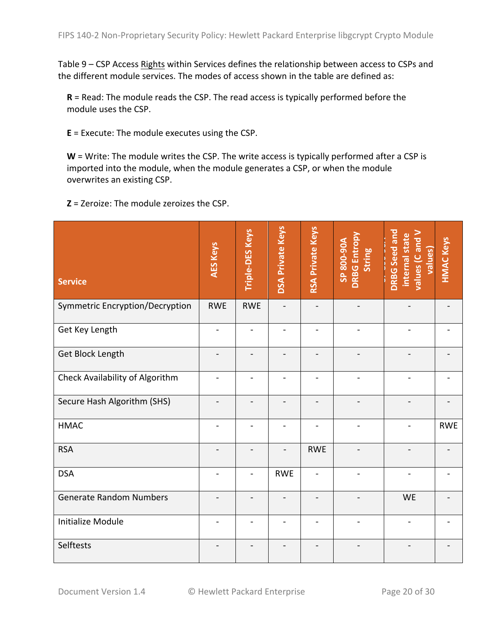Table  $9$  – CSP Access Rights within Services defines the relationship between access to CSPs and the different module services. The modes of access shown in the table are defined as:

 $R$  = Read: The module reads the CSP. The read access is typically performed before the module uses the CSP.

 $E =$  Execute: The module executes using the CSP.

 $W =$  Write: The module writes the CSP. The write access is typically performed after a CSP is imported into the module, when the module generates a CSP, or when the module overwrites an existing CSP.

**Z** = Zeroize: The module zeroizes the CSP.

| <b>Service</b>                  | <b>AES Keys</b> | Triple-DES Keys          | <b>DSA Private Keys</b> | <b>RSA Private Keys</b> | <b>DRBG Entropy</b><br>SP 800-90A<br><b>String</b> | <b>DRBG</b> Seed and<br>values (C and V<br>internal state<br>values) | <b>HMAC Keys</b> |
|---------------------------------|-----------------|--------------------------|-------------------------|-------------------------|----------------------------------------------------|----------------------------------------------------------------------|------------------|
| Symmetric Encryption/Decryption | <b>RWE</b>      | <b>RWE</b>               |                         |                         |                                                    |                                                                      |                  |
| Get Key Length                  |                 | $\overline{\phantom{a}}$ |                         |                         |                                                    |                                                                      |                  |
| Get Block Length                |                 |                          |                         |                         |                                                    |                                                                      |                  |
| Check Availability of Algorithm |                 | $\overline{\phantom{0}}$ |                         |                         |                                                    |                                                                      |                  |
| Secure Hash Algorithm (SHS)     |                 |                          |                         |                         |                                                    |                                                                      |                  |
| <b>HMAC</b>                     | $\blacksquare$  | $\overline{\phantom{0}}$ |                         |                         |                                                    |                                                                      | <b>RWE</b>       |
| <b>RSA</b>                      |                 |                          |                         | <b>RWE</b>              |                                                    |                                                                      |                  |
| <b>DSA</b>                      |                 | $\overline{a}$           | <b>RWE</b>              |                         |                                                    |                                                                      |                  |
| <b>Generate Random Numbers</b>  |                 |                          |                         |                         |                                                    | <b>WE</b>                                                            |                  |
| <b>Initialize Module</b>        |                 |                          |                         |                         |                                                    |                                                                      |                  |
| Selftests                       |                 |                          |                         |                         |                                                    |                                                                      |                  |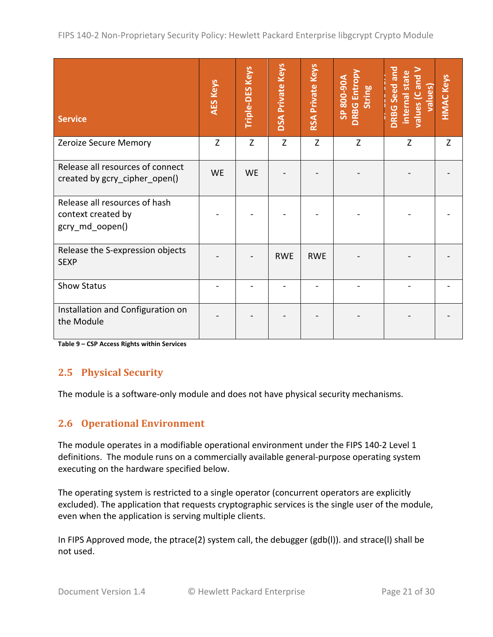| <b>Service</b>                                                         | <b>AES Keys</b> | Triple-DES Keys | <b>DSA Private Keys</b> | <b>RSA Private Keys</b> | <b>DRBG</b> Entropy<br>800-90A<br>String<br>S | <b>DRBG</b> Seed and<br>values (C and V<br>values)<br>internal state | <b>HMAC Keys</b> |
|------------------------------------------------------------------------|-----------------|-----------------|-------------------------|-------------------------|-----------------------------------------------|----------------------------------------------------------------------|------------------|
| Zeroize Secure Memory                                                  | Z               | Z               | Z                       | Z                       | Z                                             | Z                                                                    | Z                |
| Release all resources of connect<br>created by gcry_cipher_open()      | <b>WE</b>       | <b>WE</b>       |                         |                         |                                               |                                                                      |                  |
| Release all resources of hash<br>context created by<br>gcry_md_oopen() |                 |                 |                         |                         |                                               |                                                                      |                  |
| Release the S-expression objects<br><b>SEXP</b>                        |                 |                 | <b>RWE</b>              | <b>RWE</b>              |                                               |                                                                      |                  |
| <b>Show Status</b>                                                     |                 |                 |                         |                         |                                               |                                                                      |                  |
| Installation and Configuration on<br>the Module                        |                 |                 |                         |                         |                                               |                                                                      |                  |

Table 9 – CSP Access Rights within Services

# **2.5 Physical Security**

The module is a software-only module and does not have physical security mechanisms.

# **2.6 Operational Environment**

The module operates in a modifiable operational environment under the FIPS 140-2 Level 1 definitions. The module runs on a commercially available general-purpose operating system executing on the hardware specified below.

The operating system is restricted to a single operator (concurrent operators are explicitly excluded). The application that requests cryptographic services is the single user of the module, even when the application is serving multiple clients.

In FIPS Approved mode, the ptrace(2) system call, the debugger (gdb(l)). and strace(I) shall be not used.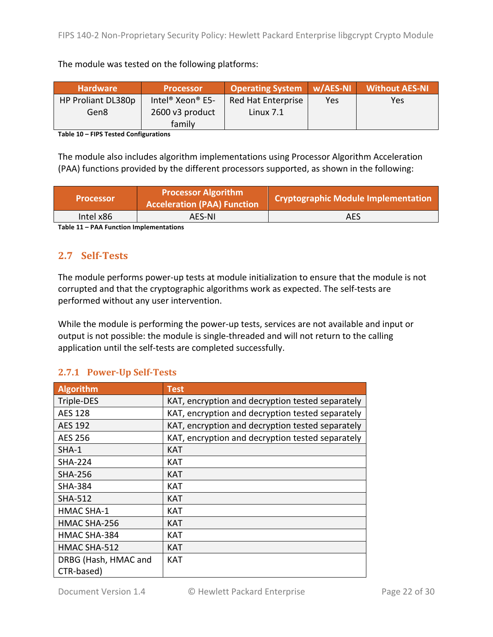The module was tested on the following platforms:

| <b>Hardware</b>    | <b>Processor</b>                         | <b>Operating System W/AES-NI</b> |     | <b>Without AES-NI</b> |
|--------------------|------------------------------------------|----------------------------------|-----|-----------------------|
| HP Proliant DL380p | Intel <sup>®</sup> Xeon <sup>®</sup> E5- | <b>Red Hat Enterprise</b>        | Yes | <b>Yes</b>            |
| Gen8               | 2600 v3 product                          | Linux $7.1$                      |     |                       |
|                    | family                                   |                                  |     |                       |

Table 10 - **FIPS Tested Configurations** 

The module also includes algorithm implementations using Processor Algorithm Acceleration (PAA) functions provided by the different processors supported, as shown in the following:

| <b>Processor</b>                                                                                                                                                                                                              | <b>Processor Algorithm</b><br><b>Acceleration (PAA) Function</b> | Cryptographic Module Implementation |  |  |  |  |
|-------------------------------------------------------------------------------------------------------------------------------------------------------------------------------------------------------------------------------|------------------------------------------------------------------|-------------------------------------|--|--|--|--|
| Intel x86                                                                                                                                                                                                                     | AES-NI                                                           | AES                                 |  |  |  |  |
| The state of the following continues the contract of the state of the state of the state of the state of the state of the state of the state of the state of the state of the state of the state of the state of the state of |                                                                  |                                     |  |  |  |  |

**Table'11 – PAA'Function'Implementations**

# 2.7 **Self-Tests**

The module performs power-up tests at module initialization to ensure that the module is not corrupted and that the cryptographic algorithms work as expected. The self-tests are performed without any user intervention.

While the module is performing the power-up tests, services are not available and input or output is not possible: the module is single-threaded and will not return to the calling application until the self-tests are completed successfully.

# **2.7.1 Power-Up Self-Tests**

| <b>Algorithm</b>     | <b>Test</b>                                      |
|----------------------|--------------------------------------------------|
|                      |                                                  |
| Triple-DES           | KAT, encryption and decryption tested separately |
| <b>AES 128</b>       | KAT, encryption and decryption tested separately |
| AES 192              | KAT, encryption and decryption tested separately |
| AES 256              | KAT, encryption and decryption tested separately |
| $SHA-1$              | <b>KAT</b>                                       |
| <b>SHA-224</b>       | <b>KAT</b>                                       |
| <b>SHA-256</b>       | <b>KAT</b>                                       |
| <b>SHA-384</b>       | <b>KAT</b>                                       |
| <b>SHA-512</b>       | <b>KAT</b>                                       |
| <b>HMAC SHA-1</b>    | <b>KAT</b>                                       |
| HMAC SHA-256         | <b>KAT</b>                                       |
| HMAC SHA-384         | <b>KAT</b>                                       |
| HMAC SHA-512         | <b>KAT</b>                                       |
| DRBG (Hash, HMAC and | <b>KAT</b>                                       |
| CTR-based)           |                                                  |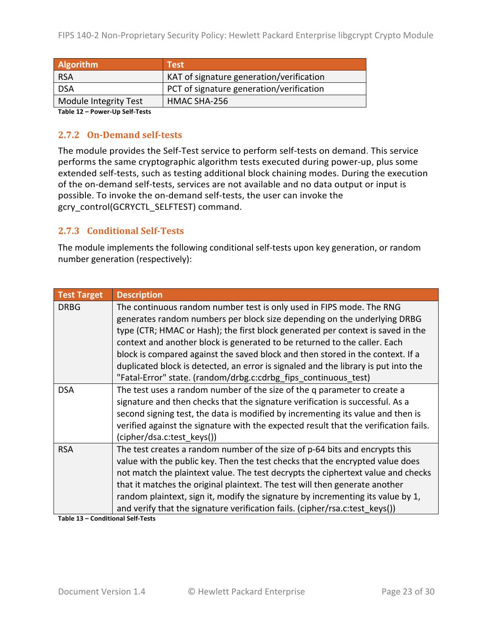| Algorithm                     | <b>Test</b>                              |
|-------------------------------|------------------------------------------|
| <b>RSA</b>                    | KAT of signature generation/verification |
| <b>DSA</b>                    | PCT of signature generation/verification |
| Module Integrity Test         | HMAC SHA-256                             |
| Toble 12 Dougly Un Colf Toots |                                          |

**Table'12 – Power=Up Self=Tests**

#### **2.7.2 On-Demand self-tests**

The module provides the Self-Test service to perform self-tests on demand. This service performs the same cryptographic algorithm tests executed during power-up, plus some extended self-tests, such as testing additional block chaining modes. During the execution of the on-demand self-tests, services are not available and no data output or input is possible. To invoke the on-demand self-tests, the user can invoke the gcry\_control(GCRYCTL\_SELFTEST) command.

#### **2.7.3 Conditional Self-Tests**

The module implements the following conditional self-tests upon key generation, or random number generation (respectively):

| <b>Test Target</b> | <b>Description</b>                                                                   |
|--------------------|--------------------------------------------------------------------------------------|
| <b>DRBG</b>        | The continuous random number test is only used in FIPS mode. The RNG                 |
|                    | generates random numbers per block size depending on the underlying DRBG             |
|                    | type (CTR; HMAC or Hash); the first block generated per context is saved in the      |
|                    | context and another block is generated to be returned to the caller. Each            |
|                    | block is compared against the saved block and then stored in the context. If a       |
|                    | duplicated block is detected, an error is signaled and the library is put into the   |
|                    | "Fatal-Error" state. (random/drbg.c:cdrbg_fips_continuous_test)                      |
| <b>DSA</b>         | The test uses a random number of the size of the q parameter to create a             |
|                    | signature and then checks that the signature verification is successful. As a        |
|                    | second signing test, the data is modified by incrementing its value and then is      |
|                    | verified against the signature with the expected result that the verification fails. |
|                    | (cipher/dsa.c:test keys())                                                           |
| <b>RSA</b>         | The test creates a random number of the size of p-64 bits and encrypts this          |
|                    | value with the public key. Then the test checks that the encrypted value does        |
|                    | not match the plaintext value. The test decrypts the ciphertext value and checks     |
|                    | that it matches the original plaintext. The test will then generate another          |
|                    | random plaintext, sign it, modify the signature by incrementing its value by 1,      |
|                    | and verify that the signature verification fails. (cipher/rsa.c:test_keys())         |

**Table 13 – Conditional Self-Tests**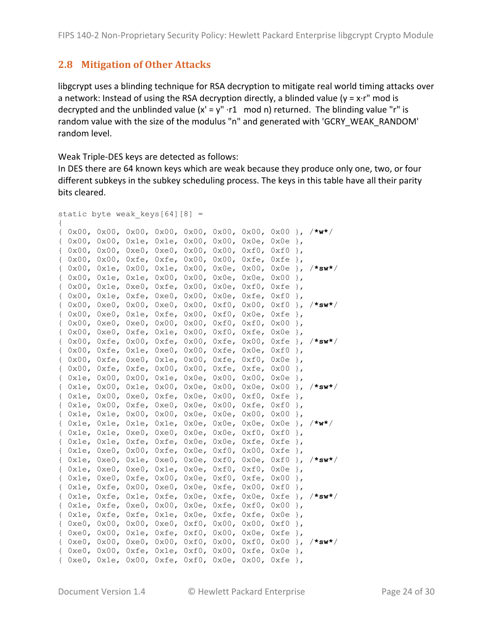#### **2.8 Mitigation of Other Attacks**

libgcrypt uses a blinding technique for RSA decryption to mitigate real world timing attacks over a network: Instead of using the RSA decryption directly, a blinded value ( $y = x \cdot r''$  mod is decrypted and the unblinded value  $(x' = y'' \cdot r1 \mod n)$  returned. The blinding value "r" is random value with the size of the modulus "n" and generated with 'GCRY\_WEAK\_RANDOM' random level.

Weak Triple-DES keys are detected as follows:

In DES there are 64 known keys which are weak because they produce only one, two, or four different subkeys in the subkey scheduling process. The keys in this table have all their parity bits cleared.

```
static byte weak keys[64][8] ={
{ 0x00, 0x00, 0x00, 0x00, 0x00, 0x00, 0x00, 0x00 }, /*w*/ 
{ 0x00, 0x00, 0x1e, 0x1e, 0x00, 0x00, 0x0e, 0x0e },
{ 0x00, 0x00, 0xe0, 0xe0, 0x00, 0x00, 0xf0, 0xf0 },
{ 0x00, 0x00, 0xfe, 0xfe, 0x00, 0x00, 0xfe, 0xfe }, 
{ 0x00, 0x1e, 0x00, 0x1e, 0x00, 0x0e, 0x00, 0x0e }, /*sw*/ 
{ 0x00, 0x1e, 0x1e, 0x00, 0x00, 0x0e, 0x0e, 0x00 },
{ 0x00, 0x1e, 0xe0, 0xfe, 0x00, 0x0e, 0xf0, 0xfe },
{ 0x00, 0x1e, 0xfe, 0xe0, 0x00, 0x0e, 0xfe, 0xf0 }, 
{ 0x00, 0xe0, 0x00, 0xe0, 0x00, 0xf0, 0x00, 0xf0 }, /*sw*/ 
{ 0x00, 0xe0, 0x1e, 0xfe, 0x00, 0xf0, 0x0e, 0xfe },
{ 0x00, 0xe0, 0xe0, 0x00, 0x00, 0xf0, 0xf0, 0x00 },
{ 0x00, 0xe0, 0xfe, 0x1e, 0x00, 0xf0, 0xfe, 0x0e }, 
{ 0x00, 0xfe, 0x00, 0xfe, 0x00, 0xfe, 0x00, 0xfe }, /*sw*/ 
{ 0x00, 0xfe, 0x1e, 0xe0, 0x00, 0xfe, 0x0e, 0xf0 },
{ 0x00, 0xfe, 0xe0, 0x1e, 0x00, 0xfe, 0xf0, 0x0e },
{ 0x00, 0xfe, 0xfe, 0x00, 0x00, 0xfe, 0xfe, 0x00 }, 
{ 0x1e, 0x00, 0x00, 0x1e, 0x0e, 0x00, 0x00, 0x0e },
{ 0x1e, 0x00, 0x1e, 0x00, 0x0e, 0x00, 0x0e, 0x00 }, /*sw*/ 
{ 0x1e, 0x00, 0xe0, 0xfe, 0x0e, 0x00, 0xf0, 0xfe },
{ 0x1e, 0x00, 0xfe, 0xe0, 0x0e, 0x00, 0xfe, 0xf0 },
{ 0x1e, 0x1e, 0x00, 0x00, 0x0e, 0x0e, 0x00, 0x00 },
{ 0x1e, 0x1e, 0x1e, 0x1e, 0x0e, 0x0e, 0x0e, 0x0e }, /*w*/ 
{ 0x1e, 0x1e, 0xe0, 0xe0, 0x0e, 0x0e, 0xf0, 0xf0 },
{ 0x1e, 0x1e, 0xfe, 0xfe, 0x0e, 0x0e, 0xfe, 0xfe },
{ 0x1e, 0xe0, 0x00, 0xfe, 0x0e, 0xf0, 0x00, 0xfe },
{ 0x1e, 0xe0, 0x1e, 0xe0, 0x0e, 0xf0, 0x0e, 0xf0 }, /*sw*/ 
{ 0x1e, 0xe0, 0xe0, 0x1e, 0x0e, 0xf0, 0xf0, 0x0e },
{ 0x1e, 0xe0, 0xfe, 0x00, 0x0e, 0xf0, 0xfe, 0x00 },
{ 0x1e, 0xfe, 0x00, 0xe0, 0x0e, 0xfe, 0x00, 0xf0 },
{ 0x1e, 0xfe, 0x1e, 0xfe, 0x0e, 0xfe, 0x0e, 0xfe }, /*sw*/ 
{ 0x1e, 0xfe, 0xe0, 0x00, 0x0e, 0xfe, 0xf0, 0x00 },
{ 0x1e, 0xfe, 0xfe, 0x1e, 0x0e, 0xfe, 0xfe, 0x0e },
{ 0xe0, 0x00, 0x00, 0xe0, 0xf0, 0x00, 0x00, 0xf0 },
{ 0xe0, 0x00, 0x1e, 0xfe, 0xf0, 0x00, 0x0e, 0xfe },
{ 0xe0, 0x00, 0xe0, 0x00, 0xf0, 0x00, 0xf0, 0x00 }, /*sw*/ 
{ 0xe0, 0x00, 0xfe, 0x1e, 0xf0, 0x00, 0xfe, 0x0e },
{ 0xe0, 0x1e, 0x00, 0xfe, 0xf0, 0x0e, 0x00, 0xfe },
```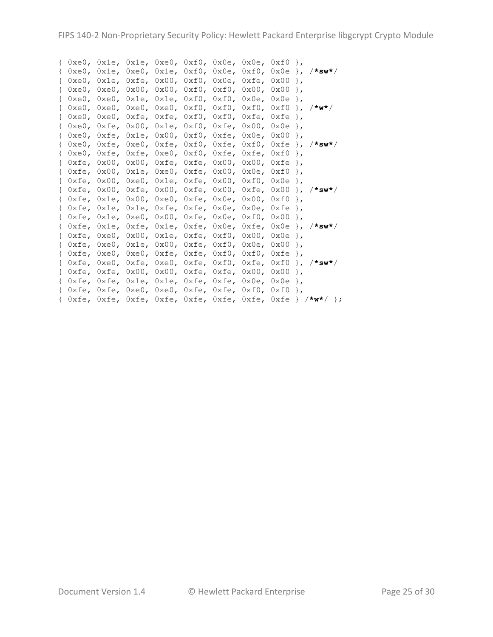|  |  | { 0xe0, 0x1e, 0x1e, 0xe0, 0xf0, 0x0e, 0x0e, 0xf0 },                                        |  |  |                                                                                                |
|--|--|--------------------------------------------------------------------------------------------|--|--|------------------------------------------------------------------------------------------------|
|  |  |                                                                                            |  |  |                                                                                                |
|  |  | { 0xe0, 0x1e, 0xfe, 0x00, 0xf0, 0x0e, 0xfe, 0x00 },                                        |  |  |                                                                                                |
|  |  | { 0xe0, 0xe0, 0x00, 0x00, 0xf0, 0xf0, 0x00, 0x00 },                                        |  |  |                                                                                                |
|  |  | $\{$ OxeO, OxeO, Oxle, Oxle, OxfO, OxfO, OxOe, OxOe $\}$ ,                                 |  |  |                                                                                                |
|  |  | { 0xe0, 0xe0, 0xe0, 0xe0, 0xf0, 0xf0, 0xf0, 0xf0 }, /*w*/                                  |  |  |                                                                                                |
|  |  | { $0xe0$ , $0xe0$ , $0xfe$ , $0xfe$ , $0xf0$ , $0xf0$ , $0xfe$ , $0xfe$ },                 |  |  |                                                                                                |
|  |  | { $0xe0$ , $0xfe$ , $0x00$ , $0x1e$ , $0xf0$ , $0xfe$ , $0x00$ , $0x0e$ },                 |  |  |                                                                                                |
|  |  | { 0xe0, 0xfe, 0x1e, 0x00, 0xf0, 0xfe, 0x0e, 0x00 },                                        |  |  |                                                                                                |
|  |  |                                                                                            |  |  | { 0xe0, 0xfe, 0xe0, 0xfe, 0xf0, 0xfe, 0xf0, 0xfe                       },      /* <b>sw*</b> / |
|  |  | { 0xe0, 0xfe, 0xfe, 0xe0, 0xf0, 0xfe, 0xfe, 0xf0 },                                        |  |  |                                                                                                |
|  |  | { $0xfe$ , $0x00$ , $0x00$ , $0xfe$ , $0xfe$ , $0x00$ , $0x00$ , $0xfe$ },                 |  |  |                                                                                                |
|  |  | { $0xfe$ , $0x00$ , $0x1e$ , $0xe0$ , $0xfe$ , $0x00$ , $0x0e$ , $0xf0$ },                 |  |  |                                                                                                |
|  |  | { 0xfe, 0x00, 0xe0, 0x1e, 0xfe, 0x00, 0xf0, 0x0e },                                        |  |  |                                                                                                |
|  |  |                                                                                            |  |  | { 0xfe, 0x00, 0xfe, 0x00, 0xfe, 0x00, 0xfe, 0x00 }, /*sw*/                                     |
|  |  | { 0xfe, 0x1e, 0x00, 0xe0, 0xfe, 0x0e, 0x00, 0xf0 },                                        |  |  |                                                                                                |
|  |  | { Oxfe, Ox1e, Ox1e, Oxfe, Oxfe, Ox0e, Ox0e, Oxfe },                                        |  |  |                                                                                                |
|  |  | $\{ 0xfe, 0x1e, 0xe0, 0x00, 0xfe, 0x0e, 0xf0, 0x00 \},$                                    |  |  |                                                                                                |
|  |  |                                                                                            |  |  | { 0xfe, 0x1e, 0xfe, 0x1e, 0xfe, 0x0e, 0xfe, 0x0e                         }, /*sw*/             |
|  |  | $\{ 0xfe, 0xe0, 0x00, 0x1e, 0xfe, 0xf0, 0x00, 0x0e \},$                                    |  |  |                                                                                                |
|  |  | { $0xfe$ , $0xe0$ , $0x1e$ , $0x00$ , $0xfe$ , $0xf0$ , $0x0e$ , $0x00$ },                 |  |  |                                                                                                |
|  |  | { $0xfe$ , $0xe0$ , $0xe0$ , $0xfe$ , $0xfe$ , $0xf0$ , $0xf0$ , $0xfe$ },                 |  |  |                                                                                                |
|  |  |                                                                                            |  |  | { 0xfe, 0xe0, 0xfe, 0xe0, 0xfe, 0xf0, 0xfe, 0xf0 }, /*sw*/                                     |
|  |  | { $0xfe$ , $0xfe$ , $0x00$ , $0x00$ , $0xfe$ , $0xfe$ , $0x00$ , $0x00$ },                 |  |  |                                                                                                |
|  |  | { $0$ xfe, $0$ xfe, $0$ x1e, $0$ x1e, $0$ xfe, $0$ xfe, $0$ x0e, $0$ x0e $\}$ ,            |  |  |                                                                                                |
|  |  | { $0$ xfe, $0$ xfe, $0$ xe $0$ , $0$ xe $0$ , $0$ xfe, $0$ xfe, $0$ xf $0$ , $0$ xf $0$ }, |  |  |                                                                                                |
|  |  |                                                                                            |  |  | { 0xfe, 0xfe, 0xfe, 0xfe, 0xfe, 0xfe, 0xfe, 0xfe } /*w*/ };                                    |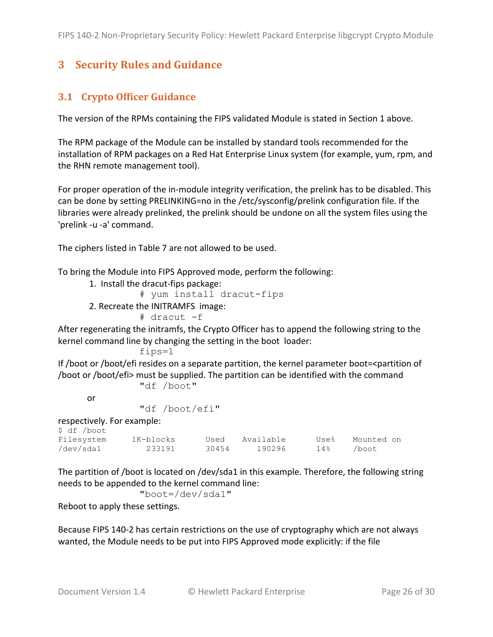# **3 Security Rules and Guidance**

# **3.1 Crypto Officer Guidance**

The version of the RPMs containing the FIPS validated Module is stated in Section 1 above.

The RPM package of the Module can be installed by standard tools recommended for the installation of RPM packages on a Red Hat Enterprise Linux system (for example, yum, rpm, and the RHN remote management tool).

For proper operation of the in-module integrity verification, the prelink has to be disabled. This can be done by setting PRELINKING=no in the /etc/sysconfig/prelink configuration file. If the libraries were already prelinked, the prelink should be undone on all the system files using the 'prelink -u -a' command.

The ciphers listed in Table 7 are not allowed to be used.

To bring the Module into FIPS Approved mode, perform the following:

1. Install the dracut-fips package:

```
 # yum install dracut-fips
```
2. Recreate the INITRAMFS image:

# dracut -f

After regenerating the initramfs, the Crypto Officer has to append the following string to the kernel command line by changing the setting in the boot loader:

fips=1

If /boot or /boot/efi resides on a separate partition, the kernel parameter boot=<partition of /boot or /boot/efi> must be supplied. The partition can be identified with the command "df /boot"

or

"df /boot/efi"

respectively. For example:

| \$ df /boot |           |       |           |      |            |
|-------------|-----------|-------|-----------|------|------------|
| Filesystem  | 1K-blocks | Used  | Available | Use% | Mounted on |
| /dev/sda1   | 233191    | 30454 | 190296    | 14%  | /boot.     |

The partition of /boot is located on /dev/sda1 in this example. Therefore, the following string needs to be appended to the kernel command line:

```
 "boot=/dev/sda1"
```
Reboot to apply these settings.

Because FIPS 140-2 has certain restrictions on the use of cryptography which are not always wanted, the Module needs to be put into FIPS Approved mode explicitly: if the file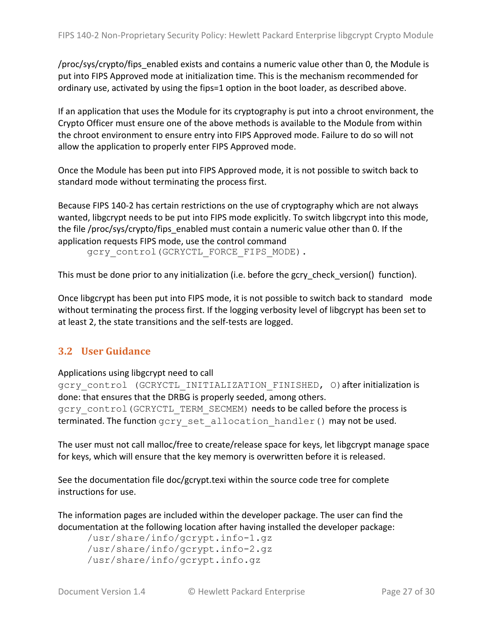/proc/sys/crypto/fips enabled exists and contains a numeric value other than 0, the Module is put into FIPS Approved mode at initialization time. This is the mechanism recommended for ordinary use, activated by using the fips=1 option in the boot loader, as described above.

If an application that uses the Module for its cryptography is put into a chroot environment, the Crypto Officer must ensure one of the above methods is available to the Module from within the chroot environment to ensure entry into FIPS Approved mode. Failure to do so will not allow the application to properly enter FIPS Approved mode.

Once the Module has been put into FIPS Approved mode, it is not possible to switch back to standard mode without terminating the process first.

Because FIPS 140-2 has certain restrictions on the use of cryptography which are not always wanted, libgcrypt needs to be put into FIPS mode explicitly. To switch libgcrypt into this mode, the file /proc/sys/crypto/fips\_enabled must contain a numeric value other than 0. If the application requests FIPS mode, use the control command

gcry\_control(GCRYCTL\_FORCE\_FIPS\_MODE).

This must be done prior to any initialization (i.e. before the gcry check version() function).

Once libgcrypt has been put into FIPS mode, it is not possible to switch back to standard mode without terminating the process first. If the logging verbosity level of libgcrypt has been set to at least 2, the state transitions and the self-tests are logged.

#### **3.2 User)Guidance**

Applications using libgcrypt need to call

gcry\_control (GCRYCTL\_INITIALIZATION\_FINISHED, O) after initialization is done: that ensures that the DRBG is properly seeded, among others. gcry\_control (GCRYCTL\_TERM\_SECMEM) needs to be called before the process is

terminated. The function gcry set allocation handler() may not be used.

The user must not call malloc/free to create/release space for keys, let libgcrypt manage space for keys, which will ensure that the key memory is overwritten before it is released.

See the documentation file  $doc/gcrypt.texi$  within the source code tree for complete instructions for use.

The information pages are included within the developer package. The user can find the documentation at the following location after having installed the developer package:

```
/usr/share/info/gcrypt.info-1.gz
/usr/share/info/gcrypt.info-2.gz
/usr/share/info/gcrypt.info.gz
```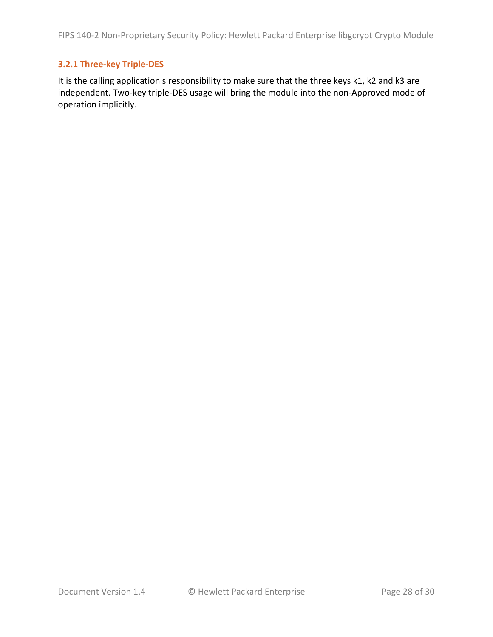#### **3.2.1'Three=key'Triple=DES**

It is the calling application's responsibility to make sure that the three keys k1, k2 and k3 are independent. Two-key triple-DES usage will bring the module into the non-Approved mode of operation implicitly.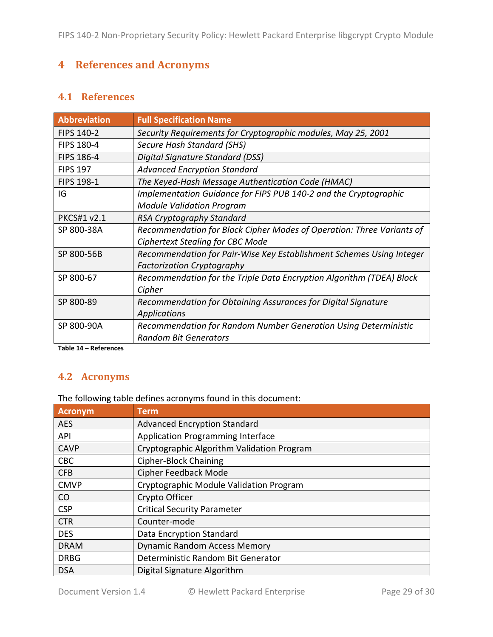# **4 References** and Acronyms

#### **4.1 References**

| <b>Abbreviation</b> | <b>Full Specification Name</b>                                        |
|---------------------|-----------------------------------------------------------------------|
| <b>FIPS 140-2</b>   | Security Requirements for Cryptographic modules, May 25, 2001         |
| <b>FIPS 180-4</b>   | <b>Secure Hash Standard (SHS)</b>                                     |
| <b>FIPS 186-4</b>   | Digital Signature Standard (DSS)                                      |
| <b>FIPS 197</b>     | <b>Advanced Encryption Standard</b>                                   |
| FIPS 198-1          | The Keyed-Hash Message Authentication Code (HMAC)                     |
| IG                  | Implementation Guidance for FIPS PUB 140-2 and the Cryptographic      |
|                     | <b>Module Validation Program</b>                                      |
| <b>PKCS#1 v2.1</b>  | RSA Cryptography Standard                                             |
| SP 800-38A          | Recommendation for Block Cipher Modes of Operation: Three Variants of |
|                     | <b>Ciphertext Stealing for CBC Mode</b>                               |
| SP 800-56B          | Recommendation for Pair-Wise Key Establishment Schemes Using Integer  |
|                     | <b>Factorization Cryptography</b>                                     |
| SP 800-67           | Recommendation for the Triple Data Encryption Algorithm (TDEA) Block  |
|                     | Cipher                                                                |
| SP 800-89           | Recommendation for Obtaining Assurances for Digital Signature         |
|                     | <b>Applications</b>                                                   |
| SP 800-90A          | Recommendation for Random Number Generation Using Deterministic       |
|                     | <b>Random Bit Generators</b>                                          |

**Table'14 – References**

#### **4.2 Acronyms**

The following table defines acronyms found in this document:

| <b>Acronym</b> | <b>Term</b>                                |
|----------------|--------------------------------------------|
| <b>AES</b>     | <b>Advanced Encryption Standard</b>        |
| <b>API</b>     | <b>Application Programming Interface</b>   |
| <b>CAVP</b>    | Cryptographic Algorithm Validation Program |
| <b>CBC</b>     | <b>Cipher-Block Chaining</b>               |
| <b>CFB</b>     | <b>Cipher Feedback Mode</b>                |
| <b>CMVP</b>    | Cryptographic Module Validation Program    |
| CO             | Crypto Officer                             |
| <b>CSP</b>     | <b>Critical Security Parameter</b>         |
| <b>CTR</b>     | Counter-mode                               |
| <b>DES</b>     | Data Encryption Standard                   |
| <b>DRAM</b>    | <b>Dynamic Random Access Memory</b>        |
| <b>DRBG</b>    | Deterministic Random Bit Generator         |
| <b>DSA</b>     | Digital Signature Algorithm                |